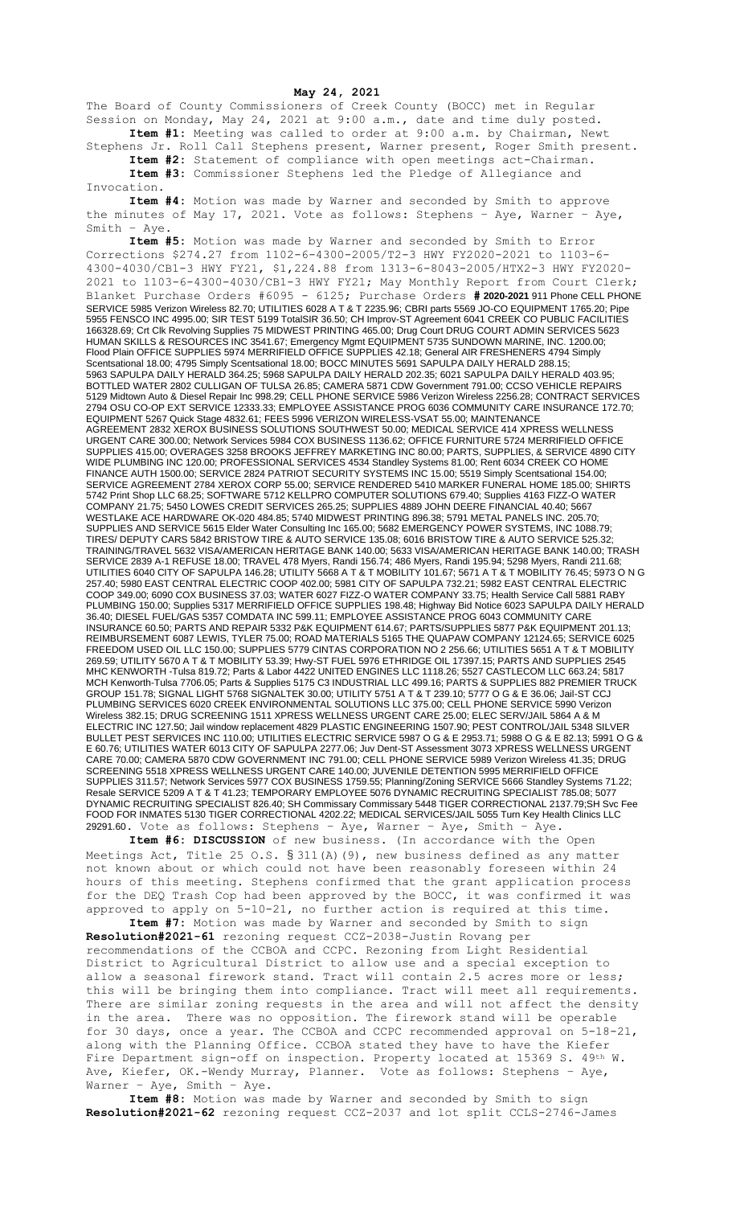## **May 24, 2021**

The Board of County Commissioners of Creek County (BOCC) met in Regular Session on Monday, May 24, 2021 at 9:00 a.m., date and time duly posted. **Item #1:** Meeting was called to order at 9:00 a.m. by Chairman, Newt

Stephens Jr. Roll Call Stephens present, Warner present, Roger Smith present. **Item #2:** Statement of compliance with open meetings act-Chairman.

**Item #3:** Commissioner Stephens led the Pledge of Allegiance and Invocation.

**Item #4:** Motion was made by Warner and seconded by Smith to approve the minutes of May 17, 2021. Vote as follows: Stephens – Aye, Warner – Aye, Smith – Aye.

**Item #5:** Motion was made by Warner and seconded by Smith to Error Corrections \$274.27 from 1102-6-4300-2005/T2-3 HWY FY2020-2021 to 1103-6- 4300-4030/CB1-3 HWY FY21, \$1,224.88 from 1313-6-8043-2005/HTX2-3 HWY FY2020- 2021 to 1103-6-4300-4030/CB1-3 HWY FY21; May Monthly Report from Court Clerk; Blanket Purchase Orders #6095 - 6125; Purchase Orders **# 2020-2021** 911 Phone CELL PHONE SERVICE 5985 Verizon Wireless 82.70; UTILITIES 6028 A T & T 2235.96; CBRI parts 5569 JO-CO EQUIPMENT 1765.20; Pipe 5955 FENSCO INC 4995.00; SIR TEST 5199 TotalSIR 36.50; CH Improv-ST Agreement 6041 CREEK CO PUBLIC FACILITIES 166328.69; Crt Clk Revolving Supplies 75 MIDWEST PRINTING 465.00; Drug Court DRUG COURT ADMIN SERVICES 5623 HUMAN SKILLS & RESOURCES INC 3541.67; Emergency Mgmt EQUIPMENT 5735 SUNDOWN MARINE, INC. 1200.00; Flood Plain OFFICE SUPPLIES 5974 MERRIFIELD OFFICE SUPPLIES 42.18; General AIR FRESHENERS 4794 Simply Scentsational 18.00; 4795 Simply Scentsational 18.00; BOCC MINUTES 5691 SAPULPA DAILY HERALD 288.15; 5963 SAPULPA DAILY HERALD 364.25; 5968 SAPULPA DAILY HERALD 202.35; 6021 SAPULPA DAILY HERALD 403.95; BOTTLED WATER 2802 CULLIGAN OF TULSA 26.85; CAMERA 5871 CDW Government 791.00; CCSO VEHICLE REPAIRS 5129 Midtown Auto & Diesel Repair Inc 998.29; CELL PHONE SERVICE 5986 Verizon Wireless 2256.28; CONTRACT SERVICES 2794 OSU CO-OP EXT SERVICE 12333.33; EMPLOYEE ASSISTANCE PROG 6036 COMMUNITY CARE INSURANCE 172.70; EQUIPMENT 5267 Quick Stage 4832.61; FEES 5996 VERIZON WIRELESS-VSAT 55.00; MAINTENANCE AGREEMENT 2832 XEROX BUSINESS SOLUTIONS SOUTHWEST 50.00; MEDICAL SERVICE 414 XPRESS WELLNESS URGENT CARE 300.00; Network Services 5984 COX BUSINESS 1136.62; OFFICE FURNITURE 5724 MERRIFIELD OFFICE SUPPLIES 415.00; OVERAGES 3258 BROOKS JEFFREY MARKETING INC 80.00; PARTS, SUPPLIES, & SERVICE 4890 CITY WIDE PLUMBING INC 120.00; PROFESSIONAL SERVICES 4534 Standley Systems 81.00; Rent 6034 CREEK CO HOME FINANCE AUTH 1500.00; SERVICE 2824 PATRIOT SECURITY SYSTEMS INC 15.00; 5519 Simply Scentsational 154.00; SERVICE AGREEMENT 2784 XEROX CORP 55.00; SERVICE RENDERED 5410 MARKER FUNERAL HOME 185.00; SHIRTS 5742 Print Shop LLC 68.25; SOFTWARE 5712 KELLPRO COMPUTER SOLUTIONS 679.40; Supplies 4163 FIZZ-O WATER COMPANY 21.75; 5450 LOWES CREDIT SERVICES 265.25; SUPPLIES 4889 JOHN DEERE FINANCIAL 40.40; 5667 WESTLAKE ACE HARDWARE OK-020 484.85; 5740 MIDWEST PRINTING 896.38; 5791 METAL PANELS INC. 205.70; SUPPLIES AND SERVICE 5615 Elder Water Consulting Inc 165.00; 5682 EMERGENCY POWER SYSTEMS, INC 1088.79; TIRES/ DEPUTY CARS 5842 BRISTOW TIRE & AUTO SERVICE 135.08; 6016 BRISTOW TIRE & AUTO SERVICE 525.32; TRAINING/TRAVEL 5632 VISA/AMERICAN HERITAGE BANK 140.00; 5633 VISA/AMERICAN HERITAGE BANK 140.00; TRASH SERVICE 2839 A-1 REFUSE 18.00; TRAVEL 478 Myers, Randi 156.74; 486 Myers, Randi 195.94; 5298 Myers, Randi 211.68; UTILITIES 6040 CITY OF SAPULPA 146.28; UTILITY 5668 A T & T MOBILITY 101.67; 5671 A T & T MOBILITY 76.45; 5973 O N G 257.40; 5980 EAST CENTRAL ELECTRIC COOP 402.00; 5981 CITY OF SAPULPA 732.21; 5982 EAST CENTRAL ELECTRIC COOP 349.00; 6090 COX BUSINESS 37.03; WATER 6027 FIZZ-O WATER COMPANY 33.75; Health Service Call 5881 RABY PLUMBING 150.00; Supplies 5317 MERRIFIELD OFFICE SUPPLIES 198.48; Highway Bid Notice 6023 SAPULPA DAILY HERALD 36.40; DIESEL FUEL/GAS 5357 COMDATA INC 599.11; EMPLOYEE ASSISTANCE PROG 6043 COMMUNITY CARE INSURANCE 60.50; PARTS AND REPAIR 5332 P&K EQUIPMENT 614.67; PARTS/SUPPLIES 5877 P&K EQUIPMENT 201.13; REIMBURSEMENT 6087 LEWIS, TYLER 75.00; ROAD MATERIALS 5165 THE QUAPAW COMPANY 12124.65; SERVICE 6025 FREEDOM USED OIL LLC 150.00; SUPPLIES 5779 CINTAS CORPORATION NO 2 256.66; UTILITIES 5651 A T & T MOBILITY 269.59; UTILITY 5670 A T & T MOBILITY 53.39; Hwy-ST FUEL 5976 ETHRIDGE OIL 17397.15; PARTS AND SUPPLIES 2545 MHC KENWORTH -Tulsa 819.72; Parts & Labor 4422 UNITED ENGINES LLC 1118.26; 5527 CASTLECOM LLC 663.24; 5817 MCH Kenworth-Tulsa 7706.05; Parts & Supplies 5175 C3 INDUSTRIAL LLC 499.16; PARTS & SUPPLIES 882 PREMIER TRUCK GROUP 151.78; SIGNAL LIGHT 5768 SIGNALTEK 30.00; UTILITY 5751 A T & T 239.10; 5777 O G & E 36.06; Jail-ST CCJ PLUMBING SERVICES 6020 CREEK ENVIRONMENTAL SOLUTIONS LLC 375.00; CELL PHONE SERVICE 5990 Verizon Wireless 382.15; DRUG SCREENING 1511 XPRESS WELLNESS URGENT CARE 25.00; ELEC SERV/JAIL 5864 A & M ELECTRIC INC 127.50; Jail window replacement 4829 PLASTIC ENGINEERING 1507.90; PEST CONTROL/JAIL 5348 SILVER BULLET PEST SERVICES INC 110.00; UTILITIES ELECTRIC SERVICE 5987 O G & E 2953.71; 5988 O G & E 82.13; 5991 O G & E 60.76; UTILITIES WATER 6013 CITY OF SAPULPA 2277.06; Juv Dent-ST Assessment 3073 XPRESS WELLNESS URGENT CARE 70.00; CAMERA 5870 CDW GOVERNMENT INC 791.00; CELL PHONE SERVICE 5989 Verizon Wireless 41.35; DRUG SCREENING 5518 XPRESS WELLNESS URGENT CARE 140.00; JUVENILE DETENTION 5995 MERRIFIELD OFFICE SUPPLIES 311.57; Network Services 5977 COX BUSINESS 1759.55; Planning/Zoning SERVICE 5666 Standley Systems 71.22; Resale SERVICE 5209 A T & T 41.23; TEMPORARY EMPLOYEE 5076 DYNAMIC RECRUITING SPECIALIST 785.08; 5077 DYNAMIC RECRUITING SPECIALIST 826.40; SH Commissary Commissary 5448 TIGER CORRECTIONAL 2137.79;SH Svc Fee FOOD FOR INMATES 5130 TIGER CORRECTIONAL 4202.22; MEDICAL SERVICES/JAIL 5055 Turn Key Health Clinics LLC 29291.60. Vote as follows: Stephens – Aye, Warner – Aye, Smith – Aye.

**Item #6: DISCUSSION** of new business. (In accordance with the Open Meetings Act, Title 25 O.S.  $\S 311(A)$  (9), new business defined as any matter not known about or which could not have been reasonably foreseen within 24 hours of this meeting. Stephens confirmed that the grant application process for the DEQ Trash Cop had been approved by the BOCC, it was confirmed it was approved to apply on 5-10-21, no further action is required at this time. **Item #7:** Motion was made by Warner and seconded by Smith to sign

**Resolution#2021-61** rezoning request CCZ-2038-Justin Rovang per recommendations of the CCBOA and CCPC. Rezoning from Light Residential District to Agricultural District to allow use and a special exception to allow a seasonal firework stand. Tract will contain 2.5 acres more or less; this will be bringing them into compliance. Tract will meet all requirements. There are similar zoning requests in the area and will not affect the density in the area. There was no opposition. The firework stand will be operable for 30 days, once a year. The CCBOA and CCPC recommended approval on 5-18-21, along with the Planning Office. CCBOA stated they have to have the Kiefer Fire Department sign-off on inspection. Property located at 15369 S. 49th W. Ave, Kiefer, OK.-Wendy Murray, Planner. Vote as follows: Stephens – Aye, Warner – Aye, Smith – Aye.

**Item #8:** Motion was made by Warner and seconded by Smith to sign **Resolution#2021-62** rezoning request CCZ-2037 and lot split CCLS-2746-James